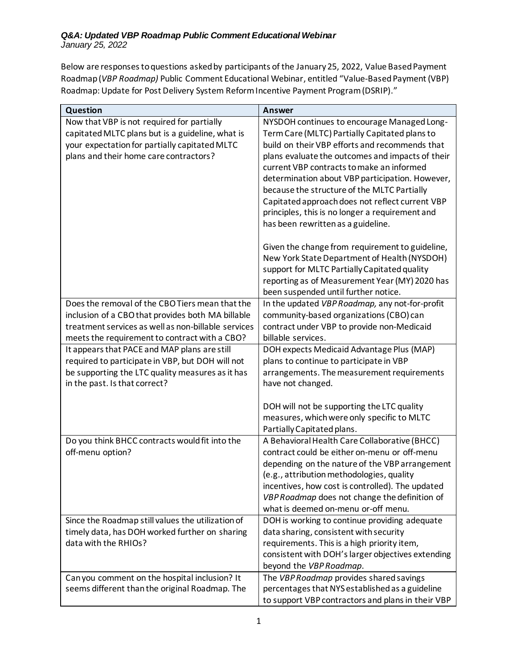Below are responses to questions asked by participants of the January 25, 2022, Value Based Payment Roadmap (*VBP Roadmap)* Public Comment Educational Webinar, entitled "Value-Based Payment (VBP) Roadmap: Update for Post Delivery System Reform Incentive Payment Program (DSRIP)."

| Question                                                                          | <b>Answer</b>                                                   |
|-----------------------------------------------------------------------------------|-----------------------------------------------------------------|
| Now that VBP is not required for partially                                        | NYSDOH continues to encourage Managed Long-                     |
| capitated MLTC plans but is a guideline, what is                                  | Term Care (MLTC) Partially Capitated plans to                   |
| your expectation for partially capitated MLTC                                     | build on their VBP efforts and recommends that                  |
| plans and their home care contractors?                                            | plans evaluate the outcomes and impacts of their                |
|                                                                                   | current VBP contracts to make an informed                       |
|                                                                                   | determination about VBP participation. However,                 |
|                                                                                   | because the structure of the MLTC Partially                     |
|                                                                                   | Capitated approach does not reflect current VBP                 |
|                                                                                   | principles, this is no longer a requirement and                 |
|                                                                                   | has been rewritten as a guideline.                              |
|                                                                                   | Given the change from requirement to guideline,                 |
|                                                                                   | New York State Department of Health (NYSDOH)                    |
|                                                                                   | support for MLTC Partially Capitated quality                    |
|                                                                                   | reporting as of Measurement Year (MY) 2020 has                  |
|                                                                                   | been suspended until further notice.                            |
| Does the removal of the CBO Tiers mean that the                                   | In the updated VBP Roadmap, any not-for-profit                  |
| inclusion of a CBO that provides both MA billable                                 | community-based organizations (CBO) can                         |
| treatment services as well as non-billable services                               | contract under VBP to provide non-Medicaid                      |
| meets the requirement to contract with a CBO?                                     | billable services.                                              |
| It appears that PACE and MAP plans are still                                      | DOH expects Medicaid Advantage Plus (MAP)                       |
| required to participate in VBP, but DOH will not                                  | plans to continue to participate in VBP                         |
| be supporting the LTC quality measures as it has<br>in the past. Is that correct? | arrangements. The measurement requirements<br>have not changed. |
|                                                                                   |                                                                 |
|                                                                                   | DOH will not be supporting the LTC quality                      |
|                                                                                   | measures, which were only specific to MLTC                      |
|                                                                                   | Partially Capitated plans.                                      |
| Do you think BHCC contracts would fit into the                                    | A Behavioral Health Care Collaborative (BHCC)                   |
| off-menu option?                                                                  | contract could be either on-menu or off-menu                    |
|                                                                                   | depending on the nature of the VBP arrangement                  |
|                                                                                   | (e.g., attribution methodologies, quality                       |
|                                                                                   | incentives, how cost is controlled). The updated                |
|                                                                                   | VBP Roadmap does not change the definition of                   |
|                                                                                   | what is deemed on-menu or-off menu.                             |
| Since the Roadmap still values the utilization of                                 | DOH is working to continue providing adequate                   |
| timely data, has DOH worked further on sharing                                    | data sharing, consistent with security                          |
| data with the RHIOs?                                                              | requirements. This is a high priority item,                     |
|                                                                                   | consistent with DOH's larger objectives extending               |
|                                                                                   | beyond the VBP Roadmap.                                         |
| Can you comment on the hospital inclusion? It                                     | The VBP Roadmap provides shared savings                         |
| seems different than the original Roadmap. The                                    | percentages that NYS established as a guideline                 |
|                                                                                   | to support VBP contractors and plans in their VBP               |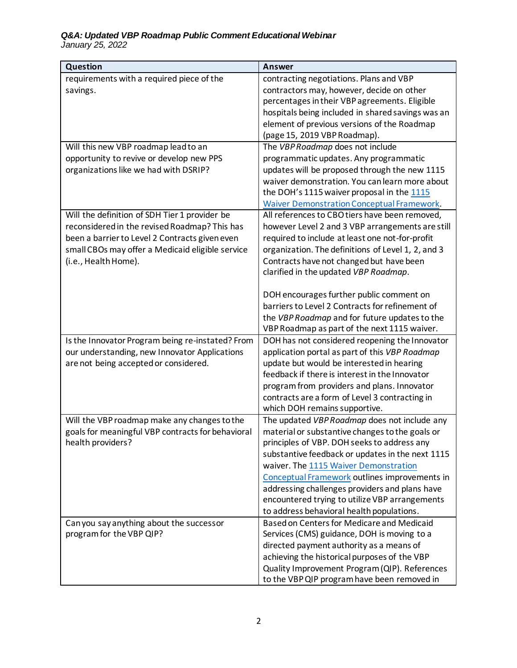## *Q&A: Updated VBP Roadmap Public Comment Educational Webinar*

 *January 25, 2022* 

| Question                                                               | <b>Answer</b>                                                                                       |
|------------------------------------------------------------------------|-----------------------------------------------------------------------------------------------------|
| requirements with a required piece of the                              | contracting negotiations. Plans and VBP                                                             |
| savings.                                                               | contractors may, however, decide on other                                                           |
|                                                                        | percentages in their VBP agreements. Eligible                                                       |
|                                                                        | hospitals being included in shared savings was an                                                   |
|                                                                        | element of previous versions of the Roadmap                                                         |
|                                                                        | (page 15, 2019 VBP Roadmap).                                                                        |
| Will this new VBP roadmap lead to an                                   | The VBP Roadmap does not include                                                                    |
| opportunity to revive or develop new PPS                               | programmatic updates. Any programmatic                                                              |
| organizations like we had with DSRIP?                                  | updates will be proposed through the new 1115                                                       |
|                                                                        | waiver demonstration. You can learn more about                                                      |
|                                                                        | the DOH's 1115 waiver proposal in the 1115                                                          |
| Will the definition of SDH Tier 1 provider be                          | <b>Waiver Demonstration Conceptual Framework.</b><br>All references to CBO tiers have been removed, |
| reconsidered in the revised Roadmap? This has                          | however Level 2 and 3 VBP arrangements are still                                                    |
| been a barrier to Level 2 Contracts given even                         | required to include at least one not-for-profit                                                     |
| small CBOs may offer a Medicaid eligible service                       | organization. The definitions of Level 1, 2, and 3                                                  |
| (i.e., Health Home).                                                   | Contracts have not changed but have been                                                            |
|                                                                        | clarified in the updated VBP Roadmap.                                                               |
|                                                                        |                                                                                                     |
|                                                                        | DOH encourages further public comment on                                                            |
|                                                                        | barriers to Level 2 Contracts for refinement of                                                     |
|                                                                        | the VBP Roadmap and for future updates to the                                                       |
|                                                                        | VBP Roadmap as part of the next 1115 waiver.                                                        |
| Is the Innovator Program being re-instated? From                       | DOH has not considered reopening the Innovator                                                      |
| our understanding, new Innovator Applications                          | application portal as part of this VBP Roadmap                                                      |
| are not being accepted or considered.                                  | update but would be interested in hearing                                                           |
|                                                                        | feedback if there is interest in the Innovator                                                      |
|                                                                        | program from providers and plans. Innovator                                                         |
|                                                                        | contracts are a form of Level 3 contracting in                                                      |
|                                                                        | which DOH remains supportive.                                                                       |
| Will the VBP roadmap make any changes to the                           | The updated VBP Roadmap does not include any                                                        |
| goals for meaningful VBP contracts for behavioral<br>health providers? | material or substantive changes to the goals or<br>principles of VBP. DOH seeks to address any      |
|                                                                        | substantive feedback or updates in the next 1115                                                    |
|                                                                        | waiver. The 1115 Waiver Demonstration                                                               |
|                                                                        | Conceptual Framework outlines improvements in                                                       |
|                                                                        | addressing challenges providers and plans have                                                      |
|                                                                        | encountered trying to utilize VBP arrangements                                                      |
|                                                                        | to address behavioral health populations.                                                           |
| Can you say anything about the successor                               | Based on Centers for Medicare and Medicaid                                                          |
| program for the VBP QIP?                                               | Services (CMS) guidance, DOH is moving to a                                                         |
|                                                                        | directed payment authority as a means of                                                            |
|                                                                        | achieving the historical purposes of the VBP                                                        |
|                                                                        | Quality Improvement Program (QIP). References                                                       |
|                                                                        | to the VBP QIP program have been removed in                                                         |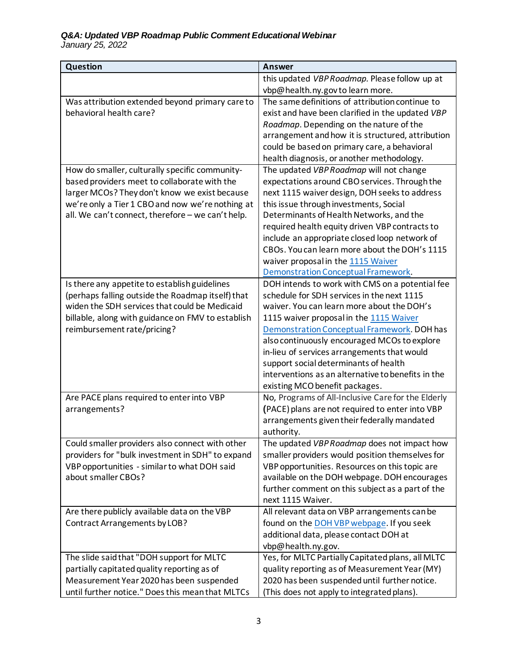| Question                                                            | <b>Answer</b>                                                                                   |
|---------------------------------------------------------------------|-------------------------------------------------------------------------------------------------|
|                                                                     | this updated VBP Roadmap. Please follow up at                                                   |
|                                                                     | vbp@health.ny.govtolearn more.                                                                  |
| Was attribution extended beyond primary care to                     | The same definitions of attribution continue to                                                 |
| behavioral health care?                                             | exist and have been clarified in the updated VBP                                                |
|                                                                     | Roadmap. Depending on the nature of the                                                         |
|                                                                     | arrangement and how it is structured, attribution                                               |
|                                                                     | could be based on primary care, a behavioral                                                    |
|                                                                     | health diagnosis, or another methodology.                                                       |
| How do smaller, culturally specific community-                      | The updated VBP Roadmap will not change                                                         |
| based providers meet to collaborate with the                        | expectations around CBO services. Through the                                                   |
| larger MCOs? They don't know we exist because                       | next 1115 waiver design, DOH seeks to address                                                   |
| we're only a Tier 1 CBO and now we're nothing at                    | this issue through investments, Social                                                          |
| all. We can't connect, therefore - we can't help.                   | Determinants of Health Networks, and the                                                        |
|                                                                     | required health equity driven VBP contracts to<br>include an appropriate closed loop network of |
|                                                                     | CBOs. You can learn more about the DOH's 1115                                                   |
|                                                                     | waiver proposal in the 1115 Waiver                                                              |
|                                                                     | <b>Demonstration Conceptual Framework.</b>                                                      |
| Is there any appetite to establish guidelines                       | DOH intends to work with CMS on a potential fee                                                 |
| (perhaps falling outside the Roadmap itself) that                   | schedule for SDH services in the next 1115                                                      |
| widen the SDH services that could be Medicaid                       | waiver. You can learn more about the DOH's                                                      |
| billable, along with guidance on FMV to establish                   | 1115 waiver proposal in the 1115 Waiver                                                         |
| reimbursement rate/pricing?                                         | Demonstration Conceptual Framework. DOH has                                                     |
|                                                                     | also continuously encouraged MCOs to explore                                                    |
|                                                                     | in-lieu of services arrangements that would                                                     |
|                                                                     | support social determinants of health                                                           |
|                                                                     | interventions as an alternative to benefits in the                                              |
|                                                                     | existing MCO benefit packages.                                                                  |
| Are PACE plans required to enter into VBP                           | No, Programs of All-Inclusive Care for the Elderly                                              |
| arrangements?                                                       | (PACE) plans are not required to enter into VBP                                                 |
|                                                                     | arrangements given their federally mandated                                                     |
|                                                                     | authority.                                                                                      |
| Could smaller providers also connect with other                     | The updated VBP Roadmap does not impact how                                                     |
| providers for "bulk investment in SDH" to expand                    | smaller providers would position themselves for                                                 |
| VBP opportunities - similar to what DOH said<br>about smaller CBOs? | VBP opportunities. Resources on this topic are<br>available on the DOH webpage. DOH encourages  |
|                                                                     | further comment on this subject as a part of the                                                |
|                                                                     | next 1115 Waiver.                                                                               |
| Are there publicly available data on the VBP                        | All relevant data on VBP arrangements can be                                                    |
| <b>Contract Arrangements by LOB?</b>                                | found on the DOH VBP webpage. If you seek                                                       |
|                                                                     | additional data, please contact DOH at                                                          |
|                                                                     | vbp@health.ny.gov.                                                                              |
| The slide said that "DOH support for MLTC                           | Yes, for MLTC Partially Capitated plans, all MLTC                                               |
| partially capitated quality reporting as of                         | quality reporting as of Measurement Year (MY)                                                   |
| Measurement Year 2020 has been suspended                            | 2020 has been suspended until further notice.                                                   |
| until further notice." Does this mean that MLTCs                    | (This does not apply to integrated plans).                                                      |